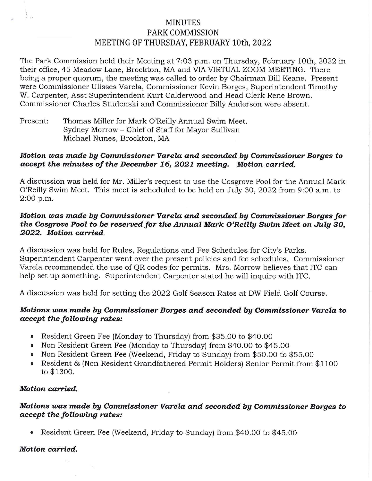# MINUTES PARK COMMISSION MEETING OF THURSDAY, FEBRUARY 10th, 2022

The Park Commission held their Meeting at 7:03 p.m. on Thursday, February 10th, 2022 in their office, 45 Meadow Lane, Brockton, MA and VIA VIRTUAL ZOOM MEETING. There being a proper quorum, the meeting was called to order by Chairman Bill Keane. Present were Commissioner Ulisses Varela, Commissioner Kevin Borges, Superintendent Timothy W. Carpenter, Asst Superintendent Kurt Calderwood and Head Clerk Rene Brown. Commissioner Charles Studenski and Commissioner Billy Anderson were absent.

Present: Thomas Miller for Mark O'Reilly Annual Swim Meet. Sydney Morrow - Chief of Staff for Mayor Sullivan Michael Nunes, Brockton, MA

#### *Motion was made by Commissioner Varela and seconded by Commissioner Borges to accept the minutes of the December 16, 2021 meeting. Motion carried.*

A discussion was held for Mr. Miller's request to use the Cosgrove Pool for the Annual Mark O'Reilly Swim Meet. This meet is scheduled to be held on July 30, 2022 from 9:00 a.m. to 2:00 p.m.

## *Motion was made by Commissioner Varela and seconded by Commissioner Borges for the Cosgrove Pool to be reserved for the Annual Mark O'Reilly Swim Meet on July 30, 2022. Motion carried.*

A discussion was held for Rules, Regulations and Fee Schedules for City's Parks. Superintendent Carpenter went over the present policies and fee schedules. Commissioner Varela recommended the use of QR codes for permits. Mrs. Morrow believes that ITC can help set up something. Superintendent Carpenter stated he will inquire with ITC.

A discussion was held for setting the 2022 Golf Season Rates at DW Field Golf Course.

## *Motions was made by Commissioner Borges and seconded by Commissioner Varela to accept the following rates:*

- Resident Green Fee (Monday to Thursday) from \$35.00 to \$40.00
- Non Resident Green Fee (Monday to Thursday) from \$40.00 to \$45.00
- Non Resident Green Fee (Weekend, Friday to Sunday) from \$50.00 to \$55.00
- Resident & (Non Resident Grandfathered Permit Holders) Senior Permit from \$1100 to \$1300.

#### *Motion carried.*

*I* •

## *Motions was made by Commissioner Varela and seconded by Commissioner Borges to accept the following rates:*

• Resident Green Fee (Weekend, Friday to Sunday) from \$40.00 to \$45.00

#### *Motion carried.*